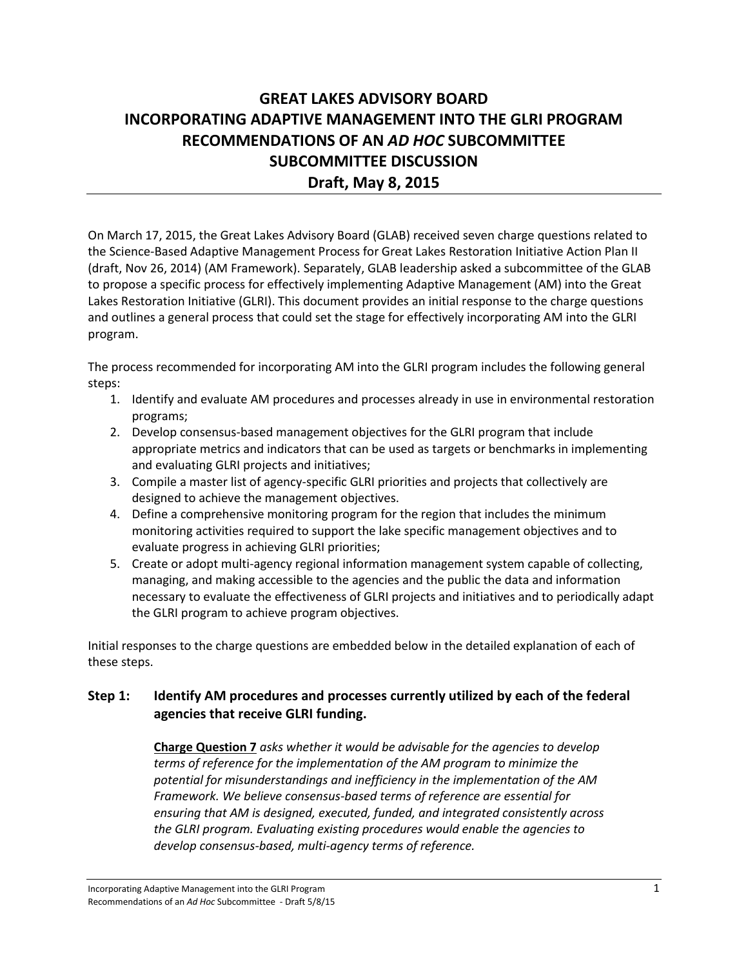# **GREAT LAKES ADVISORY BOARD INCORPORATING ADAPTIVE MANAGEMENT INTO THE GLRI PROGRAM RECOMMENDATIONS OF AN** *AD HOC* **SUBCOMMITTEE SUBCOMMITTEE DISCUSSION Draft, May 8, 2015**

On March 17, 2015, the Great Lakes Advisory Board (GLAB) received seven charge questions related to the Science-Based Adaptive Management Process for Great Lakes Restoration Initiative Action Plan II (draft, Nov 26, 2014) (AM Framework). Separately, GLAB leadership asked a subcommittee of the GLAB to propose a specific process for effectively implementing Adaptive Management (AM) into the Great Lakes Restoration Initiative (GLRI). This document provides an initial response to the charge questions and outlines a general process that could set the stage for effectively incorporating AM into the GLRI program.

The process recommended for incorporating AM into the GLRI program includes the following general steps:

- 1. Identify and evaluate AM procedures and processes already in use in environmental restoration programs;
- 2. Develop consensus-based management objectives for the GLRI program that include appropriate metrics and indicators that can be used as targets or benchmarks in implementing and evaluating GLRI projects and initiatives;
- 3. Compile a master list of agency-specific GLRI priorities and projects that collectively are designed to achieve the management objectives.
- 4. Define a comprehensive monitoring program for the region that includes the minimum monitoring activities required to support the lake specific management objectives and to evaluate progress in achieving GLRI priorities;
- 5. Create or adopt multi-agency regional information management system capable of collecting, managing, and making accessible to the agencies and the public the data and information necessary to evaluate the effectiveness of GLRI projects and initiatives and to periodically adapt the GLRI program to achieve program objectives.

Initial responses to the charge questions are embedded below in the detailed explanation of each of these steps.

# **Step 1: Identify AM procedures and processes currently utilized by each of the federal agencies that receive GLRI funding.**

**Charge Question 7** *asks whether it would be advisable for the agencies to develop terms of reference for the implementation of the AM program to minimize the potential for misunderstandings and inefficiency in the implementation of the AM Framework. We believe consensus-based terms of reference are essential for ensuring that AM is designed, executed, funded, and integrated consistently across the GLRI program. Evaluating existing procedures would enable the agencies to develop consensus-based, multi-agency terms of reference.*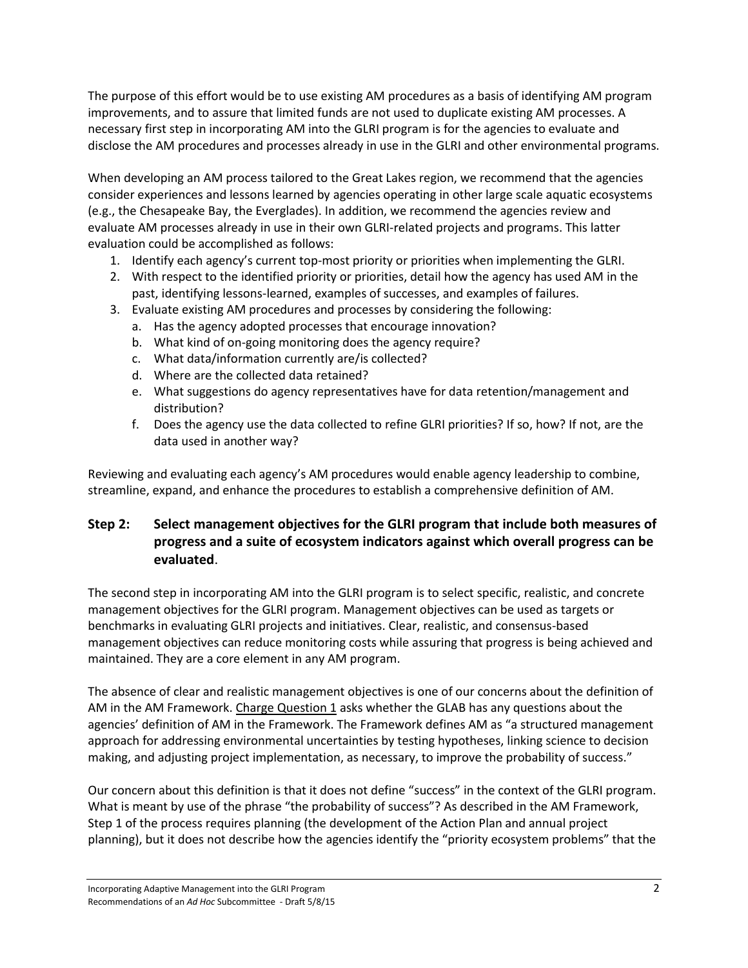The purpose of this effort would be to use existing AM procedures as a basis of identifying AM program improvements, and to assure that limited funds are not used to duplicate existing AM processes. A necessary first step in incorporating AM into the GLRI program is for the agencies to evaluate and disclose the AM procedures and processes already in use in the GLRI and other environmental programs.

When developing an AM process tailored to the Great Lakes region, we recommend that the agencies consider experiences and lessons learned by agencies operating in other large scale aquatic ecosystems (e.g., the Chesapeake Bay, the Everglades). In addition, we recommend the agencies review and evaluate AM processes already in use in their own GLRI-related projects and programs. This latter evaluation could be accomplished as follows:

- 1. Identify each agency's current top-most priority or priorities when implementing the GLRI.
- 2. With respect to the identified priority or priorities, detail how the agency has used AM in the past, identifying lessons-learned, examples of successes, and examples of failures.
- 3. Evaluate existing AM procedures and processes by considering the following:
	- a. Has the agency adopted processes that encourage innovation?
	- b. What kind of on-going monitoring does the agency require?
	- c. What data/information currently are/is collected?
	- d. Where are the collected data retained?
	- e. What suggestions do agency representatives have for data retention/management and distribution?
	- f. Does the agency use the data collected to refine GLRI priorities? If so, how? If not, are the data used in another way?

Reviewing and evaluating each agency's AM procedures would enable agency leadership to combine, streamline, expand, and enhance the procedures to establish a comprehensive definition of AM.

# **Step 2: Select management objectives for the GLRI program that include both measures of progress and a suite of ecosystem indicators against which overall progress can be evaluated**.

The second step in incorporating AM into the GLRI program is to select specific, realistic, and concrete management objectives for the GLRI program. Management objectives can be used as targets or benchmarks in evaluating GLRI projects and initiatives. Clear, realistic, and consensus-based management objectives can reduce monitoring costs while assuring that progress is being achieved and maintained. They are a core element in any AM program.

The absence of clear and realistic management objectives is one of our concerns about the definition of AM in the AM Framework. Charge Question 1 asks whether the GLAB has any questions about the agencies' definition of AM in the Framework. The Framework defines AM as "a structured management approach for addressing environmental uncertainties by testing hypotheses, linking science to decision making, and adjusting project implementation, as necessary, to improve the probability of success."

Our concern about this definition is that it does not define "success" in the context of the GLRI program. What is meant by use of the phrase "the probability of success"? As described in the AM Framework, Step 1 of the process requires planning (the development of the Action Plan and annual project planning), but it does not describe how the agencies identify the "priority ecosystem problems" that the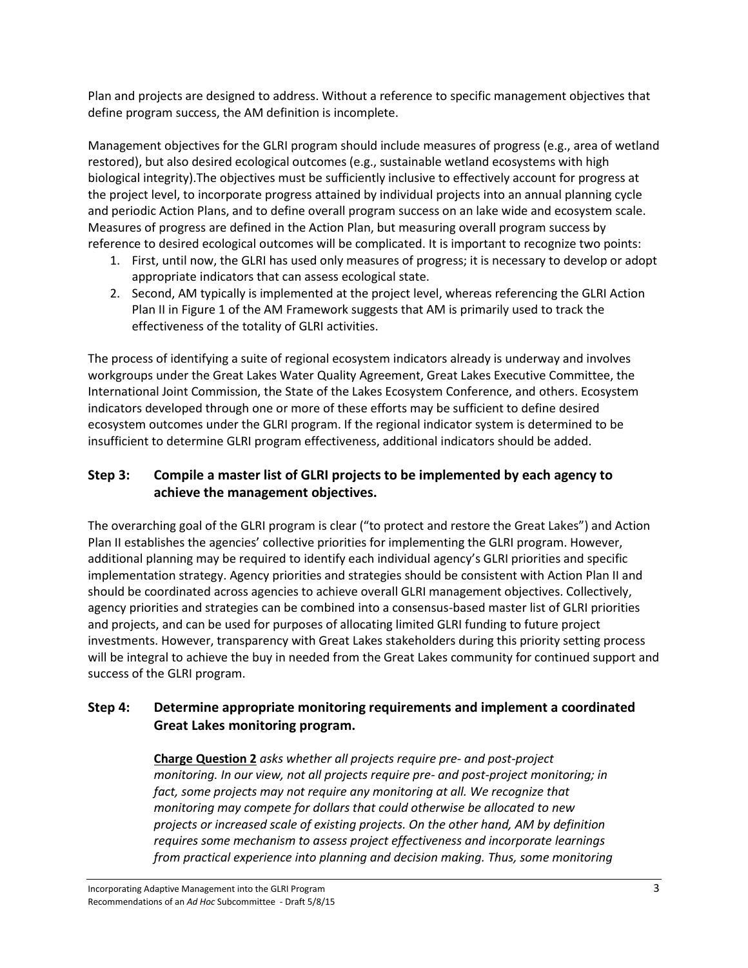Plan and projects are designed to address. Without a reference to specific management objectives that define program success, the AM definition is incomplete.

Management objectives for the GLRI program should include measures of progress (e.g., area of wetland restored), but also desired ecological outcomes (e.g., sustainable wetland ecosystems with high biological integrity).The objectives must be sufficiently inclusive to effectively account for progress at the project level, to incorporate progress attained by individual projects into an annual planning cycle and periodic Action Plans, and to define overall program success on an lake wide and ecosystem scale. Measures of progress are defined in the Action Plan, but measuring overall program success by reference to desired ecological outcomes will be complicated. It is important to recognize two points:

- 1. First, until now, the GLRI has used only measures of progress; it is necessary to develop or adopt appropriate indicators that can assess ecological state.
- 2. Second, AM typically is implemented at the project level, whereas referencing the GLRI Action Plan II in Figure 1 of the AM Framework suggests that AM is primarily used to track the effectiveness of the totality of GLRI activities.

The process of identifying a suite of regional ecosystem indicators already is underway and involves workgroups under the Great Lakes Water Quality Agreement, Great Lakes Executive Committee, the International Joint Commission, the State of the Lakes Ecosystem Conference, and others. Ecosystem indicators developed through one or more of these efforts may be sufficient to define desired ecosystem outcomes under the GLRI program. If the regional indicator system is determined to be insufficient to determine GLRI program effectiveness, additional indicators should be added.

# **Step 3: Compile a master list of GLRI projects to be implemented by each agency to achieve the management objectives.**

The overarching goal of the GLRI program is clear ("to protect and restore the Great Lakes") and Action Plan II establishes the agencies' collective priorities for implementing the GLRI program. However, additional planning may be required to identify each individual agency's GLRI priorities and specific implementation strategy. Agency priorities and strategies should be consistent with Action Plan II and should be coordinated across agencies to achieve overall GLRI management objectives. Collectively, agency priorities and strategies can be combined into a consensus-based master list of GLRI priorities and projects, and can be used for purposes of allocating limited GLRI funding to future project investments. However, transparency with Great Lakes stakeholders during this priority setting process will be integral to achieve the buy in needed from the Great Lakes community for continued support and success of the GLRI program.

# **Step 4: Determine appropriate monitoring requirements and implement a coordinated Great Lakes monitoring program.**

**Charge Question 2** *asks whether all projects require pre- and post-project monitoring. In our view, not all projects require pre- and post-project monitoring; in fact, some projects may not require any monitoring at all. We recognize that monitoring may compete for dollars that could otherwise be allocated to new projects or increased scale of existing projects. On the other hand, AM by definition requires some mechanism to assess project effectiveness and incorporate learnings from practical experience into planning and decision making. Thus, some monitoring*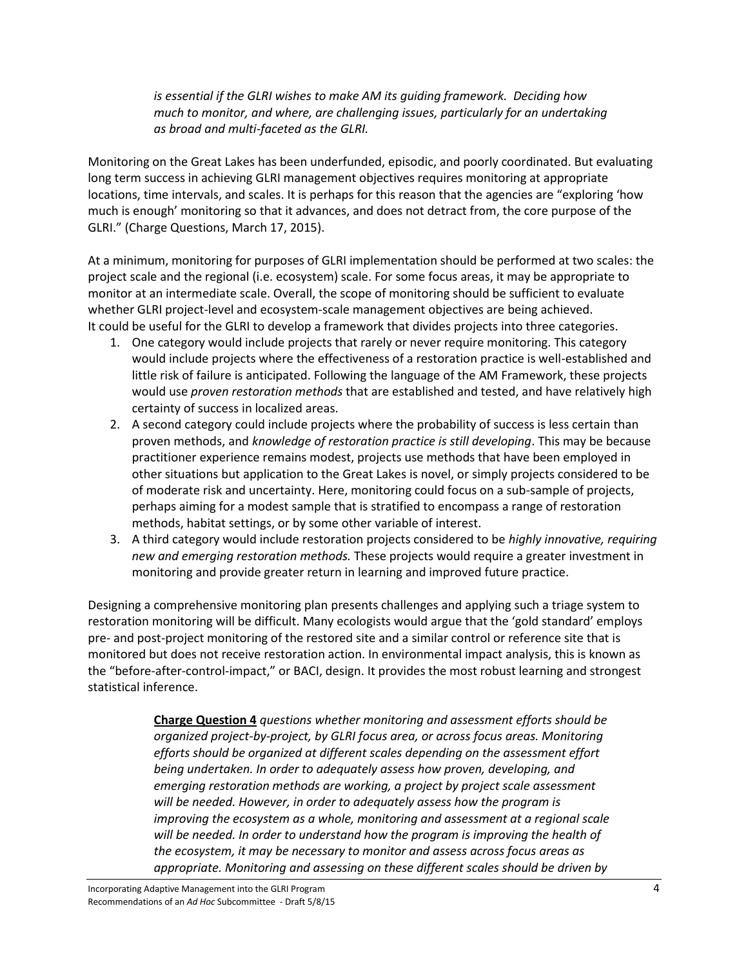*is essential if the GLRI wishes to make AM its guiding framework. Deciding how much to monitor, and where, are challenging issues, particularly for an undertaking as broad and multi-faceted as the GLRI.*

Monitoring on the Great Lakes has been underfunded, episodic, and poorly coordinated. But evaluating long term success in achieving GLRI management objectives requires monitoring at appropriate locations, time intervals, and scales. It is perhaps for this reason that the agencies are "exploring 'how much is enough' monitoring so that it advances, and does not detract from, the core purpose of the GLRI." (Charge Questions, March 17, 2015).

At a minimum, monitoring for purposes of GLRI implementation should be performed at two scales: the project scale and the regional (i.e. ecosystem) scale. For some focus areas, it may be appropriate to monitor at an intermediate scale. Overall, the scope of monitoring should be sufficient to evaluate whether GLRI project-level and ecosystem-scale management objectives are being achieved. It could be useful for the GLRI to develop a framework that divides projects into three categories.

- 1. One category would include projects that rarely or never require monitoring. This category would include projects where the effectiveness of a restoration practice is well-established and little risk of failure is anticipated. Following the language of the AM Framework, these projects would use *proven restoration methods* that are established and tested, and have relatively high certainty of success in localized areas.
- 2. A second category could include projects where the probability of success is less certain than proven methods, and *knowledge of restoration practice is still developing*. This may be because practitioner experience remains modest, projects use methods that have been employed in other situations but application to the Great Lakes is novel, or simply projects considered to be of moderate risk and uncertainty. Here, monitoring could focus on a sub-sample of projects, perhaps aiming for a modest sample that is stratified to encompass a range of restoration methods, habitat settings, or by some other variable of interest.
- 3. A third category would include restoration projects considered to be *highly innovative, requiring new and emerging restoration methods.* These projects would require a greater investment in monitoring and provide greater return in learning and improved future practice.

Designing a comprehensive monitoring plan presents challenges and applying such a triage system to restoration monitoring will be difficult. Many ecologists would argue that the 'gold standard' employs pre- and post-project monitoring of the restored site and a similar control or reference site that is monitored but does not receive restoration action. In environmental impact analysis, this is known as the "before-after-control-impact," or BACI, design. It provides the most robust learning and strongest statistical inference.

> **Charge Question 4** *questions whether monitoring and assessment efforts should be organized project-by-project, by GLRI focus area, or across focus areas. Monitoring efforts should be organized at different scales depending on the assessment effort being undertaken. In order to adequately assess how proven, developing, and emerging restoration methods are working, a project by project scale assessment will be needed. However, in order to adequately assess how the program is improving the ecosystem as a whole, monitoring and assessment at a regional scale will be needed. In order to understand how the program is improving the health of the ecosystem, it may be necessary to monitor and assess across focus areas as appropriate. Monitoring and assessing on these different scales should be driven by*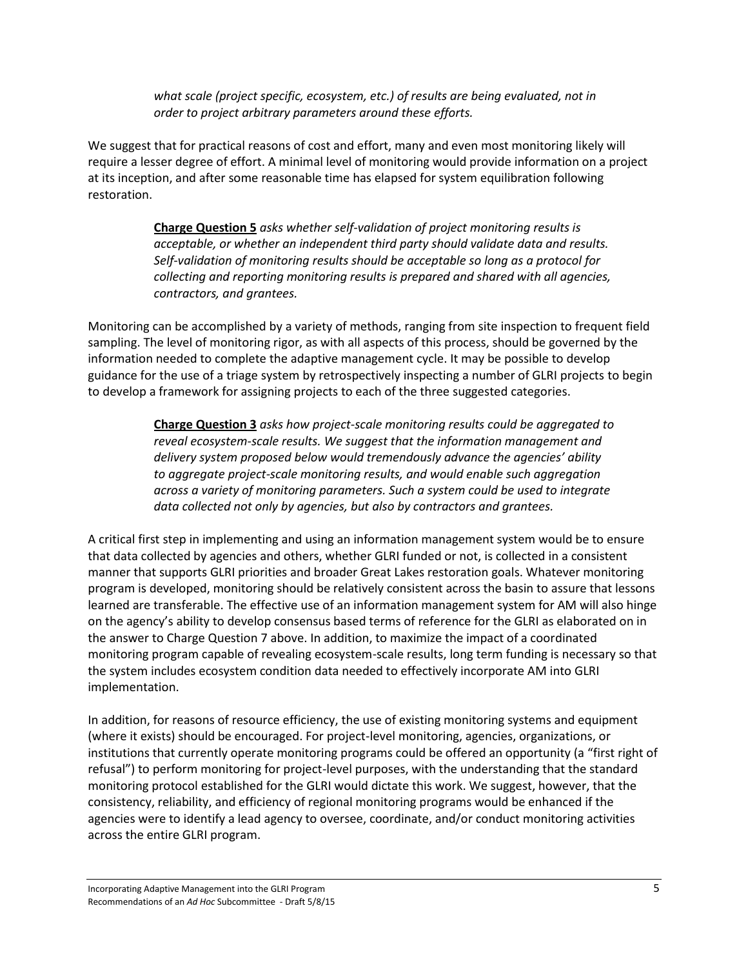*what scale (project specific, ecosystem, etc.) of results are being evaluated, not in order to project arbitrary parameters around these efforts.*

We suggest that for practical reasons of cost and effort, many and even most monitoring likely will require a lesser degree of effort. A minimal level of monitoring would provide information on a project at its inception, and after some reasonable time has elapsed for system equilibration following restoration.

> **Charge Question 5** *asks whether self-validation of project monitoring results is acceptable, or whether an independent third party should validate data and results. Self-validation of monitoring results should be acceptable so long as a protocol for collecting and reporting monitoring results is prepared and shared with all agencies, contractors, and grantees.*

Monitoring can be accomplished by a variety of methods, ranging from site inspection to frequent field sampling. The level of monitoring rigor, as with all aspects of this process, should be governed by the information needed to complete the adaptive management cycle. It may be possible to develop guidance for the use of a triage system by retrospectively inspecting a number of GLRI projects to begin to develop a framework for assigning projects to each of the three suggested categories.

> **Charge Question 3** *asks how project-scale monitoring results could be aggregated to reveal ecosystem-scale results. We suggest that the information management and delivery system proposed below would tremendously advance the agencies' ability to aggregate project-scale monitoring results, and would enable such aggregation across a variety of monitoring parameters. Such a system could be used to integrate data collected not only by agencies, but also by contractors and grantees.*

A critical first step in implementing and using an information management system would be to ensure that data collected by agencies and others, whether GLRI funded or not, is collected in a consistent manner that supports GLRI priorities and broader Great Lakes restoration goals. Whatever monitoring program is developed, monitoring should be relatively consistent across the basin to assure that lessons learned are transferable. The effective use of an information management system for AM will also hinge on the agency's ability to develop consensus based terms of reference for the GLRI as elaborated on in the answer to Charge Question 7 above. In addition, to maximize the impact of a coordinated monitoring program capable of revealing ecosystem-scale results, long term funding is necessary so that the system includes ecosystem condition data needed to effectively incorporate AM into GLRI implementation.

In addition, for reasons of resource efficiency, the use of existing monitoring systems and equipment (where it exists) should be encouraged. For project-level monitoring, agencies, organizations, or institutions that currently operate monitoring programs could be offered an opportunity (a "first right of refusal") to perform monitoring for project-level purposes, with the understanding that the standard monitoring protocol established for the GLRI would dictate this work. We suggest, however, that the consistency, reliability, and efficiency of regional monitoring programs would be enhanced if the agencies were to identify a lead agency to oversee, coordinate, and/or conduct monitoring activities across the entire GLRI program.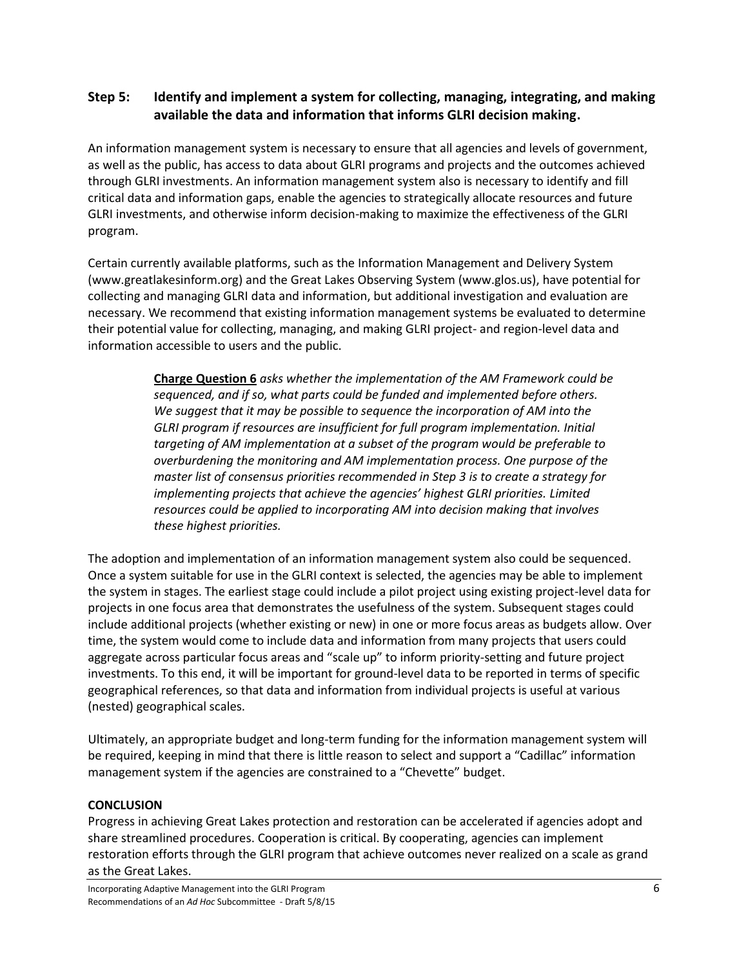## **Step 5: Identify and implement a system for collecting, managing, integrating, and making available the data and information that informs GLRI decision making.**

An information management system is necessary to ensure that all agencies and levels of government, as well as the public, has access to data about GLRI programs and projects and the outcomes achieved through GLRI investments. An information management system also is necessary to identify and fill critical data and information gaps, enable the agencies to strategically allocate resources and future GLRI investments, and otherwise inform decision-making to maximize the effectiveness of the GLRI program.

Certain currently available platforms, such as the Information Management and Delivery System (www.greatlakesinform.org) and the Great Lakes Observing System (www.glos.us), have potential for collecting and managing GLRI data and information, but additional investigation and evaluation are necessary. We recommend that existing information management systems be evaluated to determine their potential value for collecting, managing, and making GLRI project- and region-level data and information accessible to users and the public.

> **Charge Question 6** *asks whether the implementation of the AM Framework could be sequenced, and if so, what parts could be funded and implemented before others. We suggest that it may be possible to sequence the incorporation of AM into the GLRI program if resources are insufficient for full program implementation. Initial targeting of AM implementation at a subset of the program would be preferable to overburdening the monitoring and AM implementation process. One purpose of the master list of consensus priorities recommended in Step 3 is to create a strategy for implementing projects that achieve the agencies' highest GLRI priorities. Limited resources could be applied to incorporating AM into decision making that involves these highest priorities.*

The adoption and implementation of an information management system also could be sequenced. Once a system suitable for use in the GLRI context is selected, the agencies may be able to implement the system in stages. The earliest stage could include a pilot project using existing project-level data for projects in one focus area that demonstrates the usefulness of the system. Subsequent stages could include additional projects (whether existing or new) in one or more focus areas as budgets allow. Over time, the system would come to include data and information from many projects that users could aggregate across particular focus areas and "scale up" to inform priority-setting and future project investments. To this end, it will be important for ground-level data to be reported in terms of specific geographical references, so that data and information from individual projects is useful at various (nested) geographical scales.

Ultimately, an appropriate budget and long-term funding for the information management system will be required, keeping in mind that there is little reason to select and support a "Cadillac" information management system if the agencies are constrained to a "Chevette" budget.

#### **CONCLUSION**

Progress in achieving Great Lakes protection and restoration can be accelerated if agencies adopt and share streamlined procedures. Cooperation is critical. By cooperating, agencies can implement restoration efforts through the GLRI program that achieve outcomes never realized on a scale as grand as the Great Lakes.